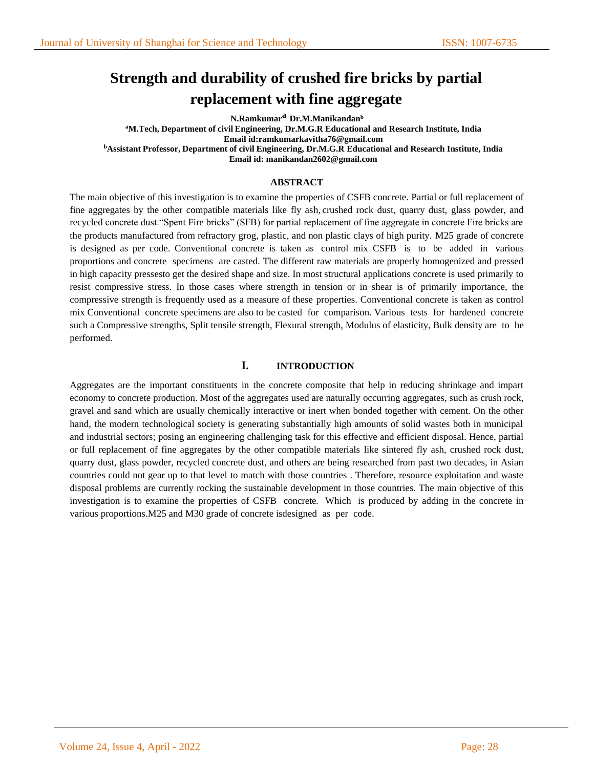# **Strength and durability of crushed fire bricks by partial replacement with fine aggregate**

**N.Ramkumar<sup>a</sup> Dr.M.Manikandan<sup>b</sup> <sup>a</sup>M.Tech, Department of civil Engineering, Dr.M.G.R Educational and Research Institute, India Email id:ramkumarkavitha76@gmail.com <sup>b</sup>Assistant Professor, Department of civil Engineering, Dr.M.G.R Educational and Research Institute, India Email id: manikandan2602@gmail.com**

#### **ABSTRACT**

The main objective of this investigation is to examine the properties of CSFB concrete. Partial or full replacement of fine aggregates by the other compatible materials like fly ash, crushed rock dust, quarry dust, glass powder, and recycled concrete dust."Spent Fire bricks" (SFB) for partial replacement of fine aggregate in concrete Fire bricks are the products manufactured from refractory grog, plastic, and non plastic clays of high purity. M25 grade of concrete is designed as per code. Conventional concrete is taken as control mix CSFB is to be added in various proportions and concrete specimens are casted. The different raw materials are properly homogenized and pressed in high capacity pressesto get the desired shape and size. In most structural applications concrete is used primarily to resist compressive stress. In those cases where strength in tension or in shear is of primarily importance, the compressive strength is frequently used as a measure of these properties. Conventional concrete is taken as control mix Conventional concrete specimens are also to be casted for comparison. Various tests for hardened concrete such a Compressive strengths, Split tensile strength, Flexural strength, Modulus of elasticity, Bulk density are to be performed.

#### **I. INTRODUCTION**

Aggregates are the important constituents in the concrete composite that help in reducing shrinkage and impart economy to concrete production. Most of the aggregates used are naturally occurring aggregates, such as crush rock, gravel and sand which are usually chemically interactive or inert when bonded together with cement. On the other hand, the modern technological society is generating substantially high amounts of solid wastes both in municipal and industrial sectors; posing an engineering challenging task for this effective and efficient disposal. Hence, partial or full replacement of fine aggregates by the other compatible materials like sintered fly ash, crushed rock dust, quarry dust, glass powder, recycled concrete dust, and others are being researched from past two decades, in Asian countries could not gear up to that level to match with those countries . Therefore, resource exploitation and waste disposal problems are currently rocking the sustainable development in those countries. The main objective of this investigation is to examine the properties of CSFB concrete. Which is produced by adding in the concrete in various proportions.M25 and M30 grade of concrete isdesigned as per code.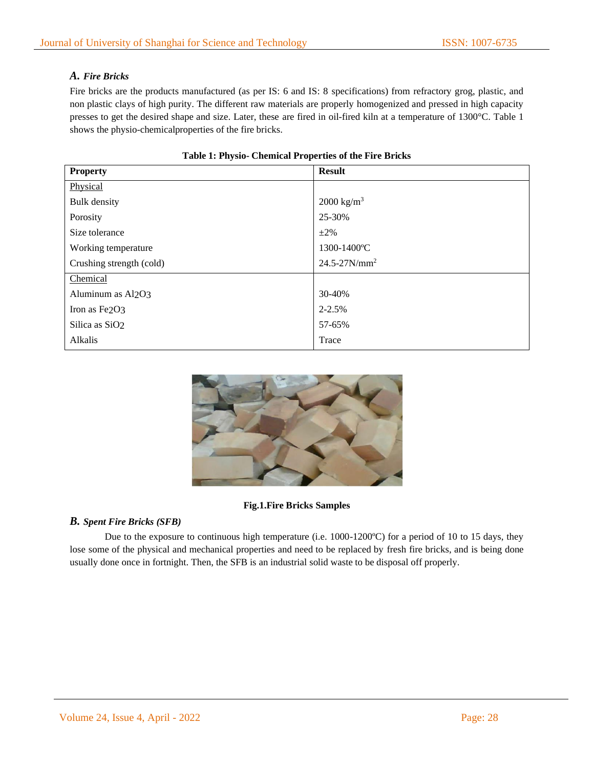# *A. Fire Bricks*

Fire bricks are the products manufactured (as per IS: 6 and IS: 8 specifications) from refractory grog, plastic, and non plastic clays of high purity. The different raw materials are properly homogenized and pressed in high capacity presses to get the desired shape and size. Later, these are fired in oil-fired kiln at a temperature of 1300°C. Table 1 shows the physio-chemicalproperties of the fire bricks.

| <b>Property</b>            | <b>Result</b>                 |  |  |
|----------------------------|-------------------------------|--|--|
| Physical                   |                               |  |  |
| <b>Bulk</b> density        | $2000 \text{ kg/m}^3$         |  |  |
| Porosity                   | 25-30%                        |  |  |
| Size tolerance             | $\pm 2\%$                     |  |  |
| Working temperature        | 1300-1400°C                   |  |  |
| Crushing strength (cold)   | $24.5 - 27$ N/mm <sup>2</sup> |  |  |
| Chemical                   |                               |  |  |
| Aluminum as Al2O3          | 30-40%                        |  |  |
| Iron as Fe2O3              | $2 - 2.5%$                    |  |  |
| Silica as SiO <sub>2</sub> | 57-65%                        |  |  |
| Alkalis                    | Trace                         |  |  |

### **Table 1: Physio- Chemical Properties of the Fire Bricks**



#### **Fig.1.Fire Bricks Samples**

# *B. Spent Fire Bricks (SFB)*

Due to the exposure to continuous high temperature (i.e. 1000-1200°C) for a period of 10 to 15 days, they lose some of the physical and mechanical properties and need to be replaced by fresh fire bricks, and is being done usually done once in fortnight. Then, the SFB is an industrial solid waste to be disposal off properly.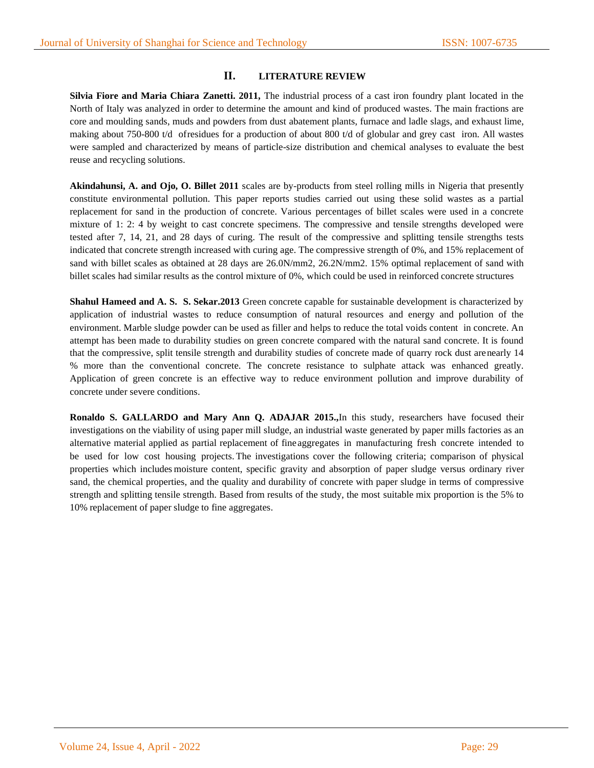# **II. LITERATURE REVIEW**

**Silvia Fiore and Maria Chiara Zanetti. 2011,** The industrial process of a cast iron foundry plant located in the North of Italy was analyzed in order to determine the amount and kind of produced wastes. The main fractions are core and moulding sands, muds and powders from dust abatement plants, furnace and ladle slags, and exhaust lime, making about 750-800 t/d ofresidues for a production of about 800 t/d of globular and grey cast iron. All wastes were sampled and characterized by means of particle-size distribution and chemical analyses to evaluate the best reuse and recycling solutions.

**Akindahunsi, A. and Ojo, O. Billet 2011** scales are by-products from steel rolling mills in Nigeria that presently constitute environmental pollution. This paper reports studies carried out using these solid wastes as a partial replacement for sand in the production of concrete. Various percentages of billet scales were used in a concrete mixture of 1: 2: 4 by weight to cast concrete specimens. The compressive and tensile strengths developed were tested after 7, 14, 21, and 28 days of curing. The result of the compressive and splitting tensile strengths tests indicated that concrete strength increased with curing age. The compressive strength of 0%, and 15% replacement of sand with billet scales as obtained at 28 days are 26.0N/mm2, 26.2N/mm2. 15% optimal replacement of sand with billet scales had similar results as the control mixture of 0%, which could be used in reinforced concrete structures

**Shahul Hameed and A. S. S. Sekar.2013** Green concrete capable for sustainable development is characterized by application of industrial wastes to reduce consumption of natural resources and energy and pollution of the environment. Marble sludge powder can be used as filler and helps to reduce the total voids content in concrete. An attempt has been made to durability studies on green concrete compared with the natural sand concrete. It is found that the compressive, split tensile strength and durability studies of concrete made of quarry rock dust arenearly 14 % more than the conventional concrete. The concrete resistance to sulphate attack was enhanced greatly. Application of green concrete is an effective way to reduce environment pollution and improve durability of concrete under severe conditions.

**Ronaldo S. GALLARDO and Mary Ann Q. ADAJAR 2015.,**In this study, researchers have focused their investigations on the viability of using paper mill sludge, an industrial waste generated by paper mills factories as an alternative material applied as partial replacement of fine aggregates in manufacturing fresh concrete intended to be used for low cost housing projects. The investigations cover the following criteria; comparison of physical properties which includes moisture content, specific gravity and absorption of paper sludge versus ordinary river sand, the chemical properties, and the quality and durability of concrete with paper sludge in terms of compressive strength and splitting tensile strength. Based from results of the study, the most suitable mix proportion is the 5% to 10% replacement of paper sludge to fine aggregates.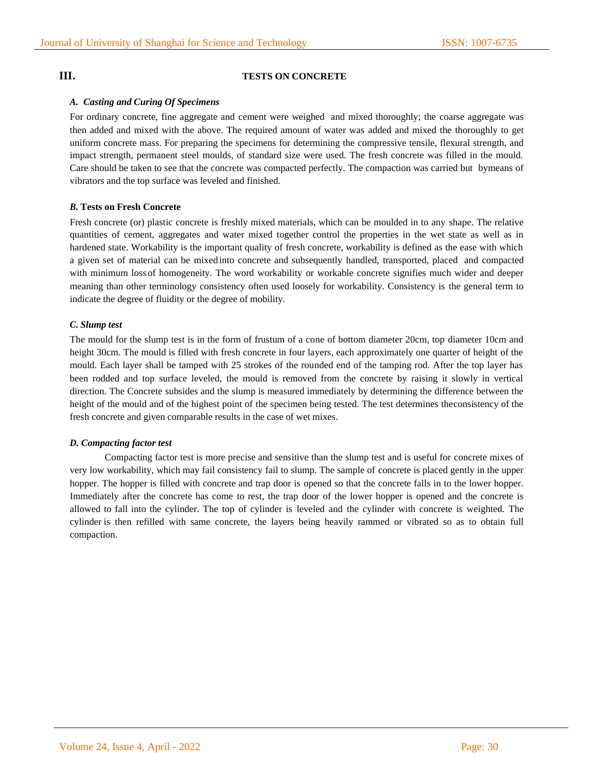# **III. TESTS ON CONCRETE**

#### *A. Casting and Curing Of Specimens*

For ordinary concrete, fine aggregate and cement were weighed and mixed thoroughly; the coarse aggregate was then added and mixed with the above. The required amount of water was added and mixed the thoroughly to get uniform concrete mass. For preparing the specimens for determining the compressive tensile, flexural strength, and impact strength, permanent steel moulds, of standard size were used. The fresh concrete was filled in the mould. Care should be taken to see that the concrete was compacted perfectly. The compaction was carried but bymeans of vibrators and the top surface was leveled and finished.

#### *B.* **Tests on Fresh Concrete**

Fresh concrete (or) plastic concrete is freshly mixed materials, which can be moulded in to any shape. The relative quantities of cement, aggregates and water mixed together control the properties in the wet state as well as in hardened state. Workability is the important quality of fresh concrete, workability is defined as the ease with which a given set of material can be mixed into concrete and subsequently handled, transported, placed and compacted with minimum lossof homogeneity. The word workability or workable concrete signifies much wider and deeper meaning than other terminology consistency often used loosely for workability. Consistency is the general term to indicate the degree of fluidity or the degree of mobility.

#### *C. Slump test*

The mould for the slump test is in the form of frustum of a cone of bottom diameter 20cm, top diameter 10cm and height 30cm. The mould is filled with fresh concrete in four layers, each approximately one quarter of height of the mould. Each layer shall be tamped with 25 strokes of the rounded end of the tamping rod. After the top layer has been rodded and top surface leveled, the mould is removed from the concrete by raising it slowly in vertical direction. The Concrete subsides and the slump is measured immediately by determining the difference between the height of the mould and of the highest point of the specimen being tested. The test determines theconsistency of the fresh concrete and given comparable results in the case of wet mixes.

#### *D. Compacting factor test*

Compacting factor test is more precise and sensitive than the slump test and is useful for concrete mixes of very low workability, which may fail consistency fail to slump. The sample of concrete is placed gently in the upper hopper. The hopper is filled with concrete and trap door is opened so that the concrete falls in to the lower hopper. Immediately after the concrete has come to rest, the trap door of the lower hopper is opened and the concrete is allowed to fall into the cylinder. The top of cylinder is leveled and the cylinder with concrete is weighted. The cylinder is then refilled with same concrete, the layers being heavily rammed or vibrated so as to obtain full compaction.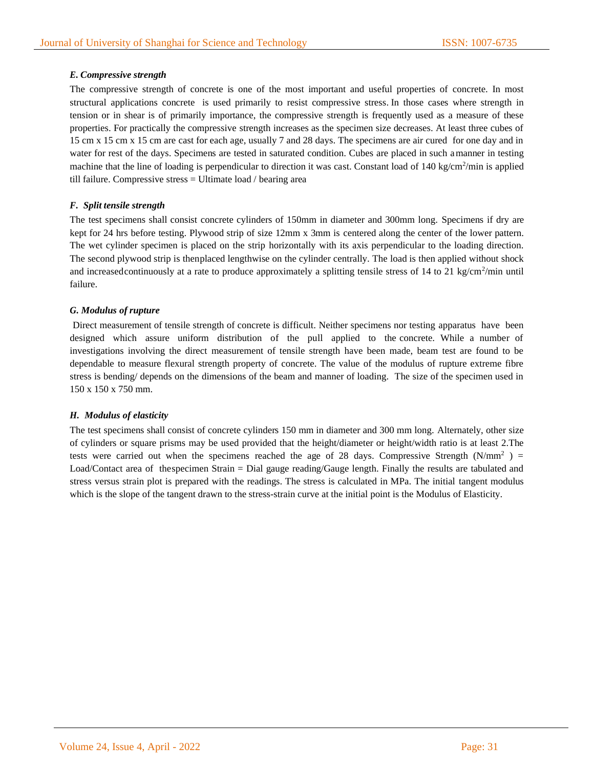### *E. Compressive strength*

The compressive strength of concrete is one of the most important and useful properties of concrete. In most structural applications concrete is used primarily to resist compressive stress. In those cases where strength in tension or in shear is of primarily importance, the compressive strength is frequently used as a measure of these properties. For practically the compressive strength increases as the specimen size decreases. At least three cubes of 15 cm x 15 cm x 15 cm are cast for each age, usually 7 and 28 days. The specimens are air cured for one day and in water for rest of the days. Specimens are tested in saturated condition. Cubes are placed in such amanner in testing machine that the line of loading is perpendicular to direction it was cast. Constant load of 140 kg/cm<sup>2</sup>/min is applied till failure. Compressive stress = Ultimate load / bearing area

#### *F. Split tensile strength*

The test specimens shall consist concrete cylinders of 150mm in diameter and 300mm long. Specimens if dry are kept for 24 hrs before testing. Plywood strip of size 12mm x 3mm is centered along the center of the lower pattern. The wet cylinder specimen is placed on the strip horizontally with its axis perpendicular to the loading direction. The second plywood strip is thenplaced lengthwise on the cylinder centrally. The load is then applied without shock and increasedcontinuously at a rate to produce approximately a splitting tensile stress of 14 to 21 kg/cm<sup>2</sup>/min until failure.

#### *G. Modulus of rupture*

Direct measurement of tensile strength of concrete is difficult. Neither specimens nor testing apparatus have been designed which assure uniform distribution of the pull applied to the concrete. While a number of investigations involving the direct measurement of tensile strength have been made, beam test are found to be dependable to measure flexural strength property of concrete. The value of the modulus of rupture extreme fibre stress is bending/ depends on the dimensions of the beam and manner of loading. The size of the specimen used in 150 x 150 x 750 mm.

#### *H. Modulus of elasticity*

The test specimens shall consist of concrete cylinders 150 mm in diameter and 300 mm long. Alternately, other size of cylinders or square prisms may be used provided that the height/diameter or height/width ratio is at least 2.The tests were carried out when the specimens reached the age of 28 days. Compressive Strength  $(N/mm^2)$  = Load/Contact area of thespecimen Strain = Dial gauge reading/Gauge length. Finally the results are tabulated and stress versus strain plot is prepared with the readings. The stress is calculated in MPa. The initial tangent modulus which is the slope of the tangent drawn to the stress-strain curve at the initial point is the Modulus of Elasticity.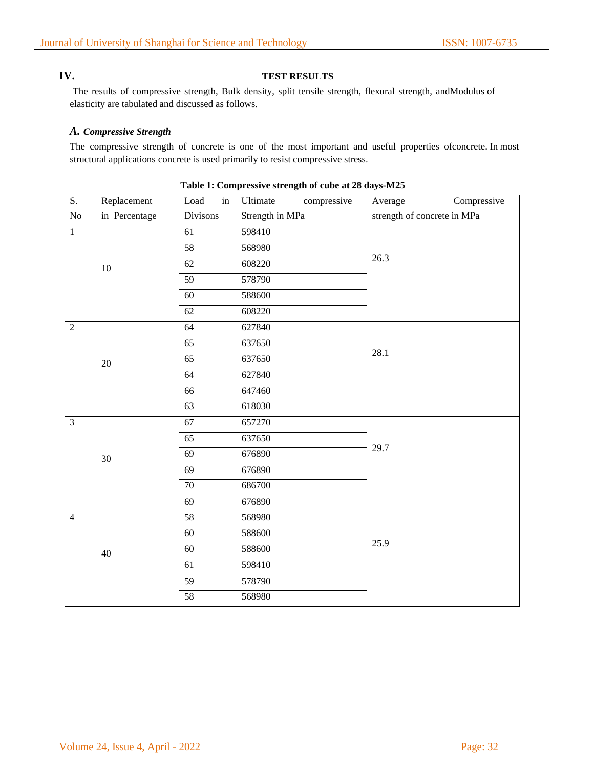# **IV. TEST RESULTS**

The results of compressive strength, Bulk density, split tensile strength, flexural strength, andModulus of elasticity are tabulated and discussed as follows.

#### *A. Compressive Strength*

The compressive strength of concrete is one of the most important and useful properties ofconcrete. In most structural applications concrete is used primarily to resist compressive stress.

| $\overline{S}$ . | Replacement   | $\operatorname{in}$<br>Load | Ultimate<br>compressive | Compressive<br>Average      |  |  |
|------------------|---------------|-----------------------------|-------------------------|-----------------------------|--|--|
| $\rm No$         | in Percentage | Divisons                    | Strength in MPa         | strength of concrete in MPa |  |  |
| $\overline{1}$   |               | 61                          | 598410                  |                             |  |  |
|                  |               | 58                          | 568980                  |                             |  |  |
|                  | $10\,$        | 62                          | 608220                  | 26.3                        |  |  |
|                  |               | $\overline{59}$             | 578790                  |                             |  |  |
|                  |               | 60                          | 588600                  |                             |  |  |
|                  |               | 62                          | 608220                  |                             |  |  |
| $\overline{2}$   |               | 64                          | 627840                  |                             |  |  |
|                  |               | 65                          | 637650                  |                             |  |  |
|                  | 20            | 65                          | 637650                  | 28.1                        |  |  |
|                  |               | 64                          | 627840                  |                             |  |  |
|                  |               | 66                          | 647460                  |                             |  |  |
|                  |               | 63                          | 618030                  |                             |  |  |
| $\overline{3}$   |               | 67                          | 657270                  |                             |  |  |
|                  |               | 65                          | 637650                  | 29.7                        |  |  |
|                  | 30            | 69                          | 676890                  |                             |  |  |
|                  |               | $\overline{69}$             | 676890                  |                             |  |  |
|                  |               | $\overline{70}$             | 686700                  |                             |  |  |
|                  |               | $\overline{69}$             | 676890                  |                             |  |  |
| $\overline{4}$   |               | 58                          | 568980                  |                             |  |  |
|                  |               | $\overline{60}$             | 588600                  |                             |  |  |
|                  | 40            | 60                          | 588600                  | 25.9                        |  |  |
|                  |               | 61                          | 598410                  |                             |  |  |
|                  |               | 59                          | 578790                  |                             |  |  |
|                  |               | 58                          | 568980                  |                             |  |  |

#### **Table 1: Compressive strength of cube at 28 days-M25**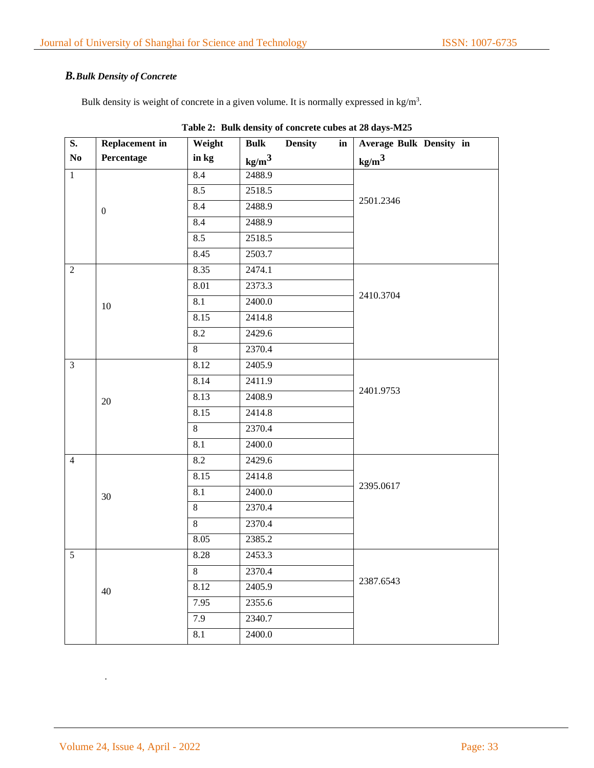# *B.Bulk Density of Concrete*

Bulk density is weight of concrete in a given volume. It is normally expressed in  $kg/m<sup>3</sup>$ .

| S.             | <b>Replacement</b> in | Weight           | <b>Bulk</b>       | <b>Density</b> | $\mathbf{in}$ | Average Bulk Density in |  |
|----------------|-----------------------|------------------|-------------------|----------------|---------------|-------------------------|--|
| $\mathbf{No}$  | Percentage            | in kg            | kg/m <sup>3</sup> |                |               | kg/m <sup>3</sup>       |  |
| $\mathbf{1}$   |                       | 8.4              | 2488.9            |                |               |                         |  |
|                |                       | 8.5              | 2518.5            |                |               |                         |  |
|                | $\boldsymbol{0}$      | 8.4              | 2488.9            |                |               | 2501.2346               |  |
|                |                       | 8.4              | 2488.9            |                |               |                         |  |
|                |                       | 8.5              | 2518.5            |                |               |                         |  |
|                |                       | 8.45             | 2503.7            |                |               |                         |  |
| $\overline{2}$ |                       | 8.35             | 2474.1            |                |               |                         |  |
|                |                       | 8.01             | 2373.3            |                |               |                         |  |
|                | $10\,$                | $\overline{8.1}$ | 2400.0            |                |               | 2410.3704               |  |
|                |                       | 8.15             | 2414.8            |                |               |                         |  |
|                |                       | 8.2              | 2429.6            |                |               |                         |  |
|                |                       | $\overline{8}$   | 2370.4            |                |               |                         |  |
| $\overline{3}$ |                       | 8.12             | 2405.9            |                |               |                         |  |
|                |                       | 8.14             | 2411.9            |                |               |                         |  |
|                | $20\,$                | 8.13             | 2408.9            |                |               | 2401.9753               |  |
|                |                       | 8.15             | 2414.8            |                |               |                         |  |
|                |                       | 8                | 2370.4            |                |               |                         |  |
|                |                       | 8.1              | 2400.0            |                |               |                         |  |
| $\overline{4}$ |                       | 8.2              | 2429.6            |                |               |                         |  |
|                |                       | 8.15             | 2414.8            |                |               |                         |  |
|                | 30                    | 8.1              | 2400.0            |                |               | 2395.0617               |  |
|                |                       | $\overline{8}$   | 2370.4            |                |               |                         |  |
|                |                       | $\overline{8}$   | 2370.4            |                |               |                         |  |
|                |                       | 8.05             | 2385.2            |                |               |                         |  |
| 5              | $40\,$                | 8.28             | 2453.3            |                |               |                         |  |
|                |                       | $\,8\,$          | 2370.4            |                |               |                         |  |
|                |                       | 8.12             | 2405.9            |                |               | 2387.6543               |  |
|                |                       | 7.95             | 2355.6            |                |               |                         |  |
|                |                       | 7.9              | 2340.7            |                |               |                         |  |
|                |                       | 8.1              | 2400.0            |                |               |                         |  |

**Table 2: Bulk density of concrete cubes at 28 days-M25**

.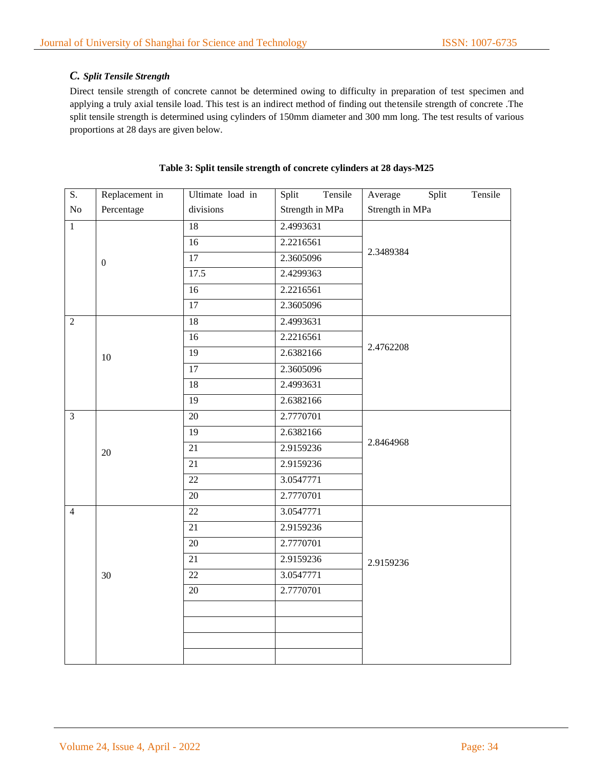# *C. Split Tensile Strength*

Direct tensile strength of concrete cannot be determined owing to difficulty in preparation of test specimen and applying a truly axial tensile load. This test is an indirect method of finding out thetensile strength of concrete .The split tensile strength is determined using cylinders of 150mm diameter and 300 mm long. The test results of various proportions at 28 days are given below.

| S.             | Replacement in   | Ultimate load in | Split<br>Tensile | Average<br>Split<br>Tensile |  |
|----------------|------------------|------------------|------------------|-----------------------------|--|
| ${\rm No}$     | Percentage       | divisions        | Strength in MPa  | Strength in MPa             |  |
| $\overline{1}$ |                  | 18               | 2.4993631        |                             |  |
|                |                  | $\overline{16}$  | 2.2216561        |                             |  |
|                | $\boldsymbol{0}$ | 17               | 2.3605096        | 2.3489384                   |  |
|                |                  | 17.5             | 2.4299363        |                             |  |
|                |                  | 16               | 2.2216561        |                             |  |
|                |                  | 17               | 2.3605096        |                             |  |
| $\overline{2}$ |                  | 18               | 2.4993631        |                             |  |
|                |                  | 16               | 2.2216561        |                             |  |
|                | $10\,$           | $\overline{19}$  | 2.6382166        | 2.4762208                   |  |
|                |                  | 17               | 2.3605096        |                             |  |
|                |                  | 18               | 2.4993631        |                             |  |
|                |                  | 19               | 2.6382166        |                             |  |
| $\overline{3}$ |                  | 20               | 2.7770701        |                             |  |
|                | $20\,$           | 19               | 2.6382166        |                             |  |
|                |                  | $\overline{21}$  | 2.9159236        | 2.8464968                   |  |
|                |                  | 21               | 2.9159236        |                             |  |
|                |                  | 22               | 3.0547771        |                             |  |
|                |                  | 20               | 2.7770701        |                             |  |
| $\overline{4}$ |                  | 22               | 3.0547771        |                             |  |
|                |                  | 21               | 2.9159236        |                             |  |
|                |                  | $\overline{20}$  | 2.7770701        |                             |  |
|                |                  | $\overline{21}$  | 2.9159236        | 2.9159236                   |  |
|                | 30               | $22\,$           | 3.0547771        |                             |  |
|                |                  | $20\,$           | 2.7770701        |                             |  |
|                |                  |                  |                  |                             |  |
|                |                  |                  |                  |                             |  |
|                |                  |                  |                  |                             |  |
|                |                  |                  |                  |                             |  |

#### **Table 3: Split tensile strength of concrete cylinders at 28 days-M25**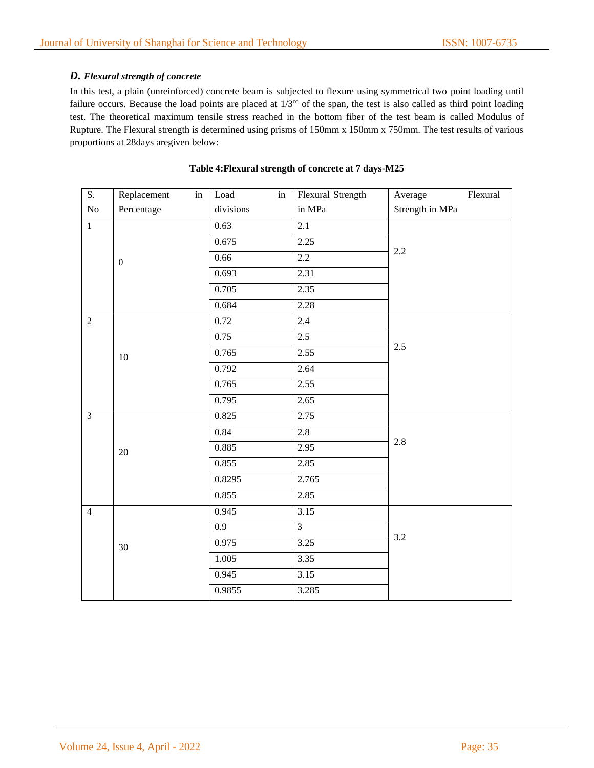# *D. Flexural strength of concrete*

In this test, a plain (unreinforced) concrete beam is subjected to flexure using symmetrical two point loading until failure occurs. Because the load points are placed at  $1/3<sup>rd</sup>$  of the span, the test is also called as third point loading test. The theoretical maximum tensile stress reached in the bottom fiber of the test beam is called Modulus of Rupture. The Flexural strength is determined using prisms of 150mm x 150mm x 750mm. The test results of various proportions at 28days aregiven below:

| $\overline{S}$ . | Replacement<br>$\operatorname{in}$ | Load<br>in       | Flexural Strength | Flexural<br>Average |  |
|------------------|------------------------------------|------------------|-------------------|---------------------|--|
| $\rm No$         | Percentage                         | divisions        | in MPa            | Strength in MPa     |  |
| $\overline{1}$   |                                    | 0.63             | $\overline{2.1}$  |                     |  |
|                  |                                    | 0.675            | 2.25              |                     |  |
|                  | $\boldsymbol{0}$                   | 0.66             | $2.2\,$           | 2.2                 |  |
|                  |                                    | 0.693            | 2.31              |                     |  |
|                  |                                    | 0.705            | 2.35              |                     |  |
|                  |                                    | 0.684            | 2.28              |                     |  |
| $\overline{2}$   |                                    | 0.72             | 2.4               |                     |  |
|                  |                                    | 0.75             | 2.5               |                     |  |
|                  | 10                                 | 0.765            | 2.55              | 2.5                 |  |
|                  |                                    | 0.792            | 2.64              |                     |  |
|                  |                                    | 0.765            | 2.55              |                     |  |
|                  |                                    | 0.795            | 2.65              |                     |  |
| $\mathfrak{Z}$   |                                    | 0.825            | 2.75              | 2.8                 |  |
|                  |                                    | 0.84             | 2.8               |                     |  |
|                  | $20\,$                             | 0.885            | 2.95              |                     |  |
|                  |                                    | 0.855            | 2.85              |                     |  |
|                  |                                    | 0.8295           | 2.765             |                     |  |
|                  |                                    | 0.855            | 2.85              |                     |  |
| $\overline{4}$   | 30                                 | 0.945            | 3.15              |                     |  |
|                  |                                    | $\overline{0.9}$ | $\overline{3}$    | 3.2                 |  |
|                  |                                    | 0.975            | 3.25              |                     |  |
|                  |                                    | 1.005            | 3.35              |                     |  |
|                  |                                    | 0.945            | $\overline{3.15}$ |                     |  |
|                  |                                    | 0.9855           | 3.285             |                     |  |

### **Table 4:Flexural strength of concrete at 7 days-M25**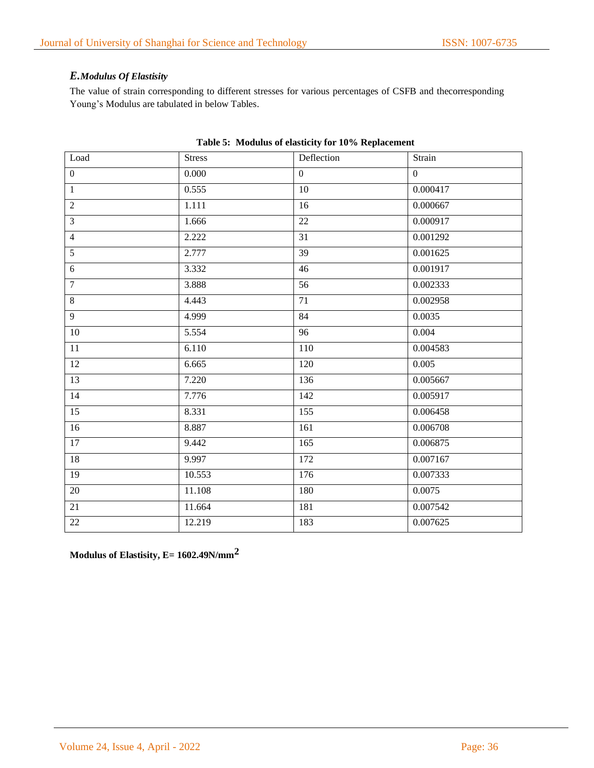# *E.Modulus Of Elastisity*

The value of strain corresponding to different stresses for various percentages of CSFB and thecorresponding Young's Modulus are tabulated in below Tables.

| Load             | <b>Stress</b> | Deflection      | Strain         |
|------------------|---------------|-----------------|----------------|
| $\boldsymbol{0}$ | 0.000         | $\overline{0}$  | $\overline{0}$ |
| $\mathbf{1}$     | 0.555         | $\overline{10}$ | 0.000417       |
| $\overline{2}$   | 1.111         | 16              | 0.000667       |
| $\overline{3}$   | 1.666         | 22              | 0.000917       |
| $\overline{4}$   | 2.222         | 31              | 0.001292       |
| $\overline{5}$   | 2.777         | $\overline{39}$ | 0.001625       |
| $\sqrt{6}$       | 3.332         | 46              | 0.001917       |
| $7\phantom{.0}$  | 3.888         | 56              | 0.002333       |
| $\,8\,$          | 4.443         | 71              | 0.002958       |
| $\overline{9}$   | 4.999         | 84              | 0.0035         |
| 10               | 5.554         | 96              | 0.004          |
| 11               | 6.110         | 110             | 0.004583       |
| 12               | 6.665         | 120             | 0.005          |
| 13               | 7.220         | 136             | 0.005667       |
| 14               | 7.776         | 142             | 0.005917       |
| $\overline{15}$  | 8.331         | 155             | 0.006458       |
| 16               | 8.887         | 161             | 0.006708       |
| 17               | 9.442         | 165             | 0.006875       |
| 18               | 9.997         | 172             | 0.007167       |
| 19               | 10.553        | 176             | 0.007333       |
| 20               | 11.108        | 180             | 0.0075         |
| 21               | 11.664        | 181             | 0.007542       |
| 22               | 12.219        | 183             | 0.007625       |

### **Table 5: Modulus of elasticity for 10% Replacement**

**Modulus of Elastisity, E= 1602.49N/mm2**